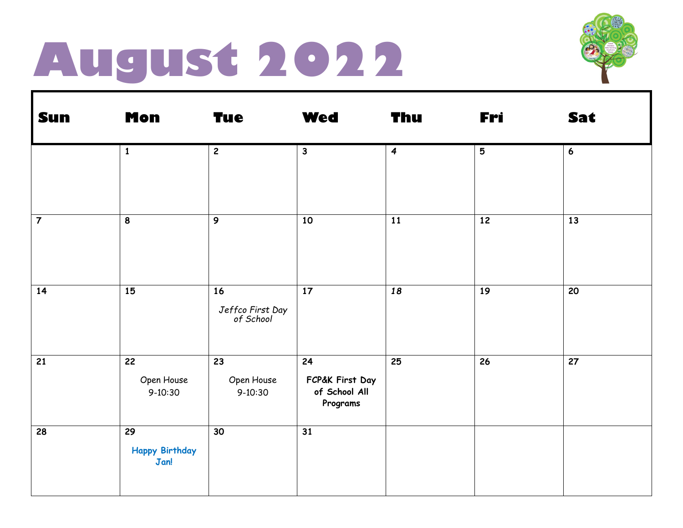### **August 2022**



| <b>Sun</b>     | <b>Mon</b>                          | <b>Tue</b>                          | <b>Wed</b>                                         | <b>Thu</b>       | Fri             | Sat |
|----------------|-------------------------------------|-------------------------------------|----------------------------------------------------|------------------|-----------------|-----|
|                | $\mathbf{1}$                        | $\mathbf{2}$                        | $\mathbf{3}$                                       | $\boldsymbol{4}$ | $5\phantom{.0}$ | 6   |
| $\overline{7}$ | 8                                   | $\boldsymbol{9}$                    | 10                                                 | 11               | 12              | 13  |
| 14             | 15                                  | 16<br>Jeffco First Day<br>of School | 17                                                 | 18               | 19              | 20  |
| 21             | 22<br>Open House<br>$9-10:30$       | 23<br>Open House<br>$9 - 10:30$     | 24<br>FCP&K First Day<br>of School All<br>Programs | 25               | 26              | 27  |
| 28             | 29<br><b>Happy Birthday</b><br>Jan! | 30                                  | 31                                                 |                  |                 |     |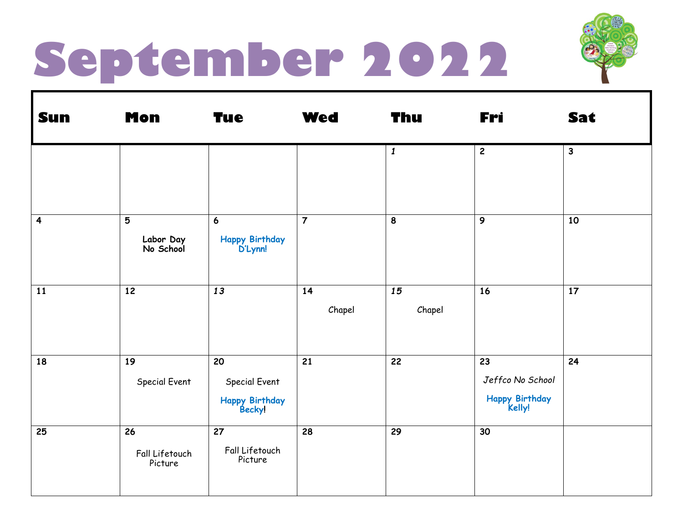## **September 2022**



| <b>Sun</b>              | <b>Mon</b>                      | <b>Tue</b>                                      | <b>Wed</b>     | Thu              | Fri                                                | Sat          |
|-------------------------|---------------------------------|-------------------------------------------------|----------------|------------------|----------------------------------------------------|--------------|
|                         |                                 |                                                 |                | $\boldsymbol{1}$ | $\mathbf{2}$                                       | $\mathbf{3}$ |
| $\overline{\mathbf{4}}$ | 5<br>Labor Day<br>No School     | $\boldsymbol{6}$<br>Happy Birthday<br>D'Lynn!   | $\overline{7}$ | 8                | $\boldsymbol{9}$                                   | 10           |
| 11                      | 12                              | 13                                              | 14<br>Chapel   | 15<br>Chapel     | 16                                                 | 17           |
| 18                      | 19<br>Special Event             | 20<br>Special Event<br>Happy Birthday<br>Becky! | 21             | 22               | 23<br>Jeffco No School<br>Happy Birthday<br>Kelly! | 24           |
| 25                      | 26<br>Fall Lifetouch<br>Picture | 27<br>Fall Lifetouch<br>Picture                 | 28             | 29               | 30                                                 |              |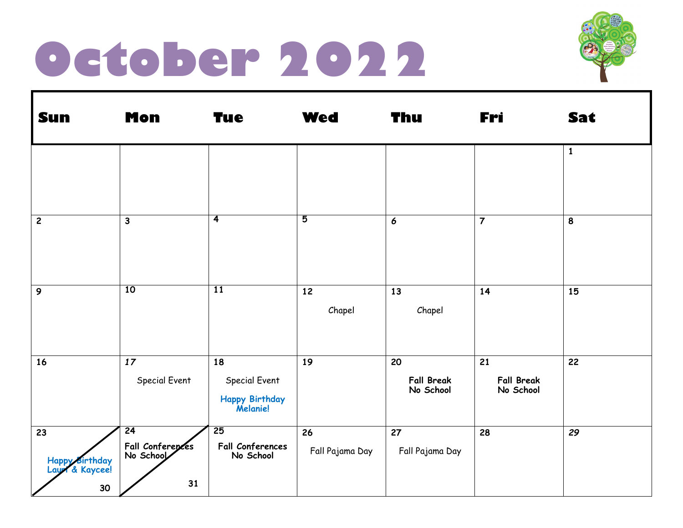#### **October 2022**



| <b>Sun</b>                                                | <b>Mon</b>                                | <b>Tue</b>                                              | <b>Wed</b>            | Thu                                  | Fri                                  | Sat          |
|-----------------------------------------------------------|-------------------------------------------|---------------------------------------------------------|-----------------------|--------------------------------------|--------------------------------------|--------------|
|                                                           |                                           |                                                         |                       |                                      |                                      | $\mathbf{1}$ |
| $\overline{c}$                                            | $\mathbf{3}$                              | $\overline{4}$                                          | $\overline{5}$        | 6                                    | $\overline{\mathbf{7}}$              | 8            |
|                                                           |                                           |                                                         |                       |                                      |                                      |              |
| $\mathbf{9}$                                              | 10                                        | <b>11</b>                                               | 12<br>Chapel          | 13<br>Chapel                         | 14                                   | 15           |
| 16                                                        | $17$<br>Special Event                     | 18<br>Special Event<br>Happy Birthday<br>Melanie!       | 19                    | 20<br><b>Fall Break</b><br>No School | 21<br><b>Fall Break</b><br>No School | 22           |
| $\overline{23}$<br>Happy Birthday<br>Laux & Kaycee!<br>30 | 24<br>Fall Conferences<br>No School<br>31 | $\overline{25}$<br><b>Fall Conferences</b><br>No School | 26<br>Fall Pajama Day | 27<br>Fall Pajama Day                | 28                                   | 29           |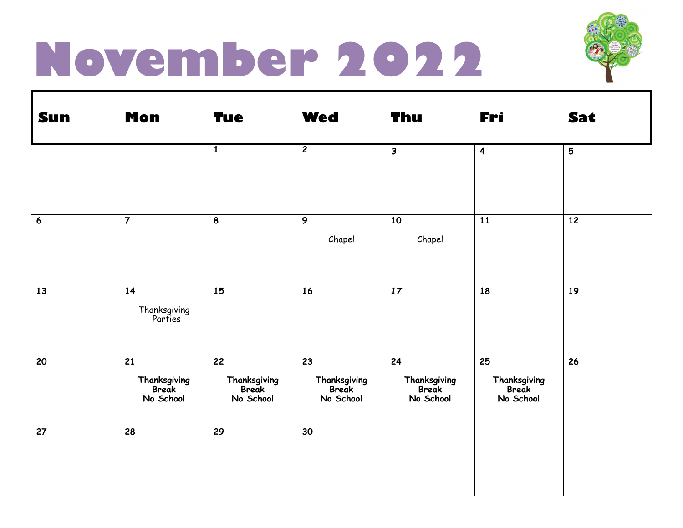### **November 2022**



| <b>Sun</b>       | <b>Mon</b>                               | <b>Tue</b>                               | <b>Wed</b>                               | <b>Thu</b>                               | Fri                                      | Sat |
|------------------|------------------------------------------|------------------------------------------|------------------------------------------|------------------------------------------|------------------------------------------|-----|
|                  |                                          | $\mathbf{1}$                             | $\overline{2}$                           | $\mathbf{3}$                             | $\overline{\mathbf{4}}$                  | 5   |
| $\boldsymbol{6}$ | $\overline{7}$                           | $\pmb{8}$                                | 9<br>Chapel                              | 10<br>Chapel                             | 11                                       | 12  |
| 13               | 14<br>Thanksgiving<br>Parties            | 15                                       | 16                                       | $17$                                     | 18                                       | 19  |
| 20               | 21<br>Thanksgiving<br>Break<br>No School | 22<br>Thanksgiving<br>Break<br>No School | 23<br>Thanksgiving<br>Break<br>No School | 24<br>Thanksgiving<br>Break<br>No School | 25<br>Thanksgiving<br>Break<br>No School | 26  |
| 27               | 28                                       | 29                                       | 30                                       |                                          |                                          |     |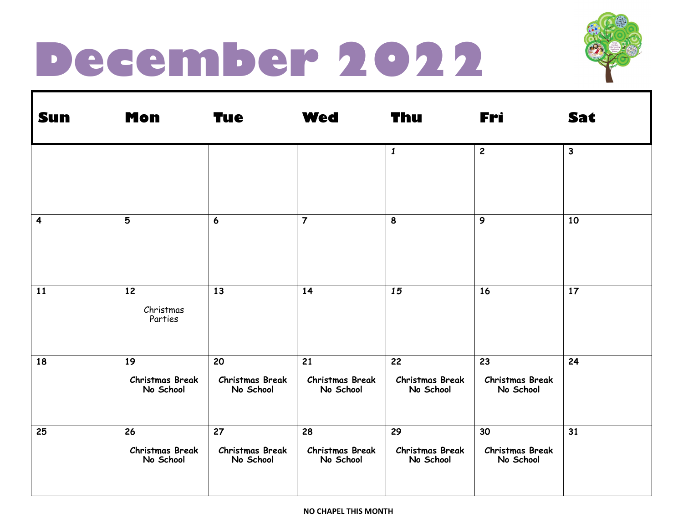#### **December 2022**



| <b>Sun</b>              | <b>Mon</b>                                | <b>Tue</b>                                | <b>Wed</b>                                | <b>Thu</b>                                | Fri                                       | Sat          |
|-------------------------|-------------------------------------------|-------------------------------------------|-------------------------------------------|-------------------------------------------|-------------------------------------------|--------------|
|                         |                                           |                                           |                                           | $\boldsymbol{1}$                          | $\overline{2}$                            | $\mathbf{3}$ |
| $\overline{\mathbf{4}}$ | 5                                         | $\boldsymbol{6}$                          | $\overline{7}$                            | 8                                         | 9                                         | 10           |
| 11                      | 12<br>Christmas<br>Parties                | 13                                        | 14                                        | 15                                        | 16                                        | 17           |
| 18                      | 19<br><b>Christmas Break</b><br>No School | 20<br><b>Christmas Break</b><br>No School | 21<br><b>Christmas Break</b><br>No School | 22<br><b>Christmas Break</b><br>No School | 23<br><b>Christmas Break</b><br>No School | 24           |
| 25                      | 26<br><b>Christmas Break</b><br>No School | 27<br><b>Christmas Break</b><br>No School | 28<br><b>Christmas Break</b><br>No School | 29<br><b>Christmas Break</b><br>No School | 30<br><b>Christmas Break</b><br>No School | 31           |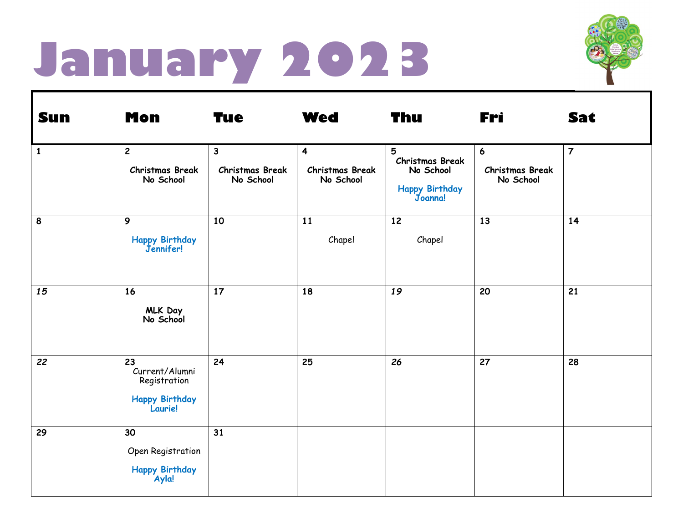### **January 2023**



| <b>Sun</b>   | <b>Mon</b>                                                        | <b>Tue</b>                                          | <b>Wed</b>                                                     | Thu                                                                          | Fri                                                    | <b>Sat</b>     |
|--------------|-------------------------------------------------------------------|-----------------------------------------------------|----------------------------------------------------------------|------------------------------------------------------------------------------|--------------------------------------------------------|----------------|
| $\mathbf{1}$ | $\overline{c}$<br><b>Christmas Break</b><br>No School             | $\mathbf{3}$<br><b>Christmas Break</b><br>No School | $\overline{\mathbf{4}}$<br><b>Christmas Break</b><br>No School | 5<br><b>Christmas Break</b><br>No School<br><b>Happy Birthday</b><br>Joanna! | $6\overline{6}$<br><b>Christmas Break</b><br>No School | $\overline{7}$ |
| 8            | 9<br>Happy Birthday<br>Jennifer!                                  | 10                                                  | 11<br>Chapel                                                   | 12<br>Chapel                                                                 | 13                                                     | 14             |
| 15           | 16<br>MLK Day<br>No School                                        | 17                                                  | 18                                                             | 19                                                                           | 20                                                     | 21             |
| 22           | 23<br>Current/Alumni<br>Registration<br>Happy Birthday<br>Laurie! | 24                                                  | 25                                                             | 26                                                                           | 27                                                     | 28             |
| 29           | 30<br>Open Registration<br>Happy Birthday<br>Ayla!                | 31                                                  |                                                                |                                                                              |                                                        |                |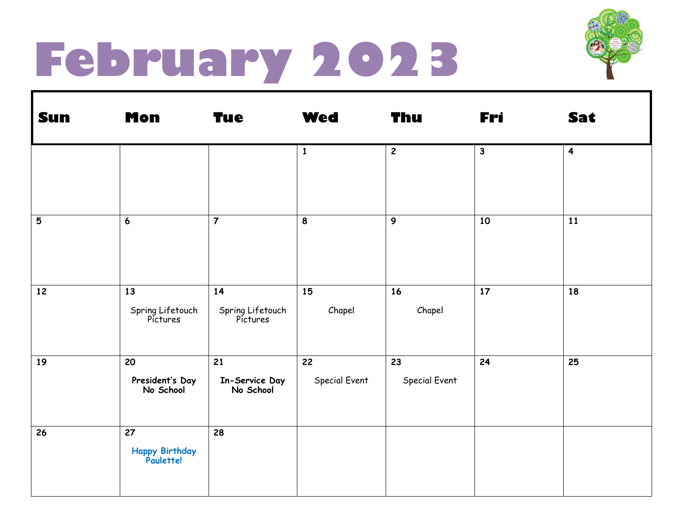## **February 2023**



| <b>Sun</b> | <b>Mon</b>                         | <b>Tue</b>                         | <b>Wed</b>          | Thu                 | Fri          | Sat                     |
|------------|------------------------------------|------------------------------------|---------------------|---------------------|--------------|-------------------------|
|            |                                    |                                    | $\mathbf{1}$        | $\overline{2}$      | $\mathbf{3}$ | $\overline{\mathbf{4}}$ |
| 5          | $\boldsymbol{6}$                   | $\overline{7}$                     | $\pmb{8}$           | 9                   | 10           | 11                      |
| 12         | 13<br>Spring Lifetouch<br>Pictures | 14<br>Spring Lifetouch<br>Pictures | 15<br>Chapel        | 16<br>Chapel        | 17           | 18                      |
| 19         | 20<br>President's Day<br>No School | 21<br>In-Service Day<br>No School  | 22<br>Special Event | 23<br>Special Event | 24           | 25                      |
| 26         | 27<br>Happy Birthday<br>Paulette!  | 28                                 |                     |                     |              |                         |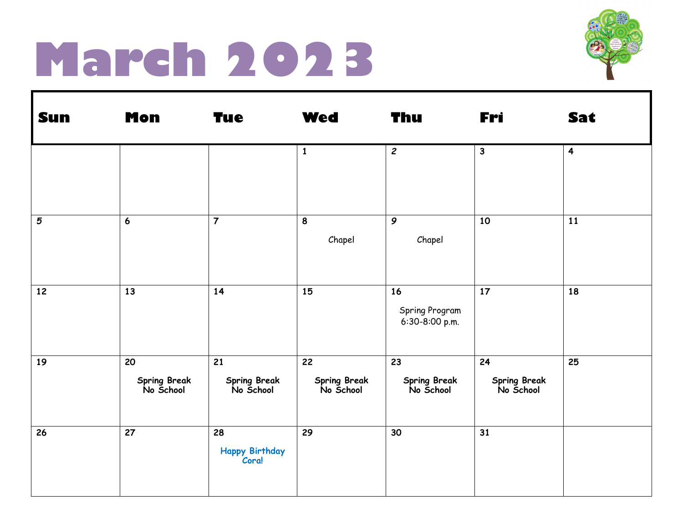#### **March 2023**



| <b>Sun</b>     | <b>Mon</b>                      | <b>Tue</b>                      | <b>Wed</b>                      | <b>Thu</b>                             | Fri                             | Sat                     |
|----------------|---------------------------------|---------------------------------|---------------------------------|----------------------------------------|---------------------------------|-------------------------|
|                |                                 |                                 | $\mathbf{1}$                    | $\overline{c}$                         | $\mathbf{3}$                    | $\overline{\mathbf{4}}$ |
| $\overline{5}$ | $\boldsymbol{6}$                | $\overline{7}$                  | 8<br>Chapel                     | 9<br>Chapel                            | 10                              | 11                      |
| 12             | 13                              | 14                              | 15                              | 16<br>Spring Program<br>6:30-8:00 p.m. | 17                              | 18                      |
| 19             | 20<br>Spring Break<br>No School | 21<br>Spring Break<br>No School | 22<br>Spring Break<br>No School | 23<br>Spring Break<br>No School        | 24<br>Spring Break<br>No School | 25                      |
| 26             | 27                              | 28<br>Happy Birthday<br>Cora!   | 29                              | 30                                     | 31                              |                         |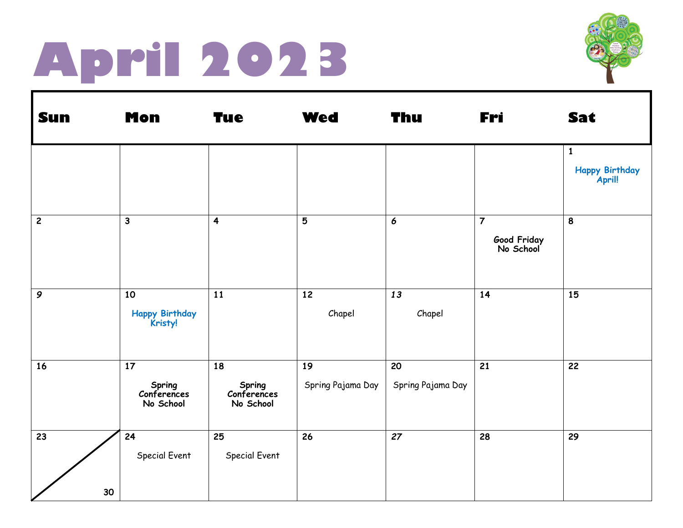## **April 2023**



| <b>Sun</b>     | <b>Mon</b>                               | <b>Tue</b>                               | <b>Wed</b>              | Thu                     | Fri                                        | Sat                                      |
|----------------|------------------------------------------|------------------------------------------|-------------------------|-------------------------|--------------------------------------------|------------------------------------------|
|                |                                          |                                          |                         |                         |                                            | $\mathbf{1}$<br>Happy Birthday<br>April! |
| $\overline{c}$ | $\mathbf{3}$                             | $\overline{\mathbf{4}}$                  | 5                       | $\boldsymbol{6}$        | $\overline{7}$<br>Good Friday<br>No School | 8                                        |
| $\mathcal{G}$  | 10<br><b>Happy Birthday</b><br>Kristy!   | 11                                       | 12<br>Chapel            | 13<br>Chapel            | 14                                         | 15                                       |
| 16             | 17<br>Spring<br>Conferences<br>No School | 18<br>Spring<br>Conferences<br>No School | 19<br>Spring Pajama Day | 20<br>Spring Pajama Day | 21                                         | 22                                       |
| 23<br>30       | 24<br>Special Event                      | 25<br>Special Event                      | 26                      | 27                      | 28                                         | 29                                       |